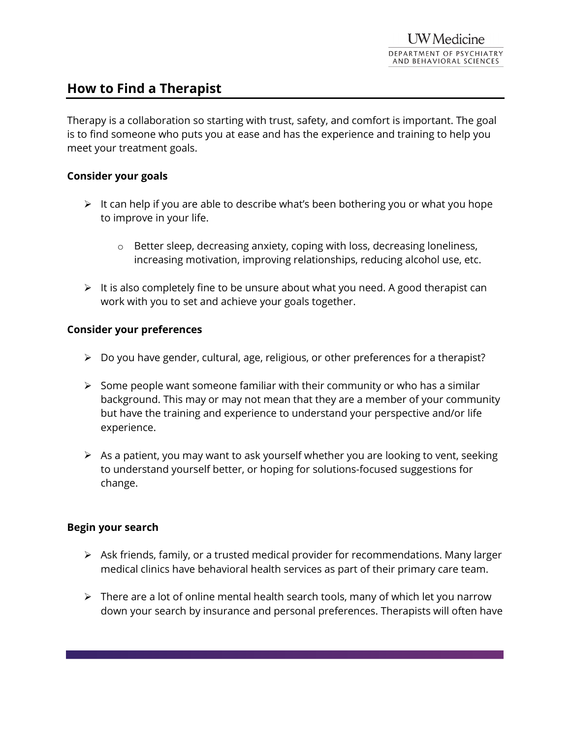# **How to Find a Therapist**

Therapy is a collaboration so starting with trust, safety, and comfort is important. The goal is to find someone who puts you at ease and has the experience and training to help you meet your treatment goals.

## **Consider your goals**

- $\triangleright$  It can help if you are able to describe what's been bothering you or what you hope to improve in your life.
	- o Better sleep, decreasing anxiety, coping with loss, decreasing loneliness, increasing motivation, improving relationships, reducing alcohol use, etc.
- $\triangleright$  It is also completely fine to be unsure about what you need. A good therapist can work with you to set and achieve your goals together.

### **Consider your preferences**

- $\triangleright$  Do you have gender, cultural, age, religious, or other preferences for a therapist?
- $\triangleright$  Some people want someone familiar with their community or who has a similar background. This may or may not mean that they are a member of your community but have the training and experience to understand your perspective and/or life experience.
- $\triangleright$  As a patient, you may want to ask yourself whether you are looking to vent, seeking to understand yourself better, or hoping for solutions-focused suggestions for change.

#### **Begin your search**

- $\triangleright$  Ask friends, family, or a trusted medical provider for recommendations. Many larger medical clinics have behavioral health services as part of their primary care team.
- $\triangleright$  There are a lot of online mental health search tools, many of which let you narrow down your search by insurance and personal preferences. Therapists will often have